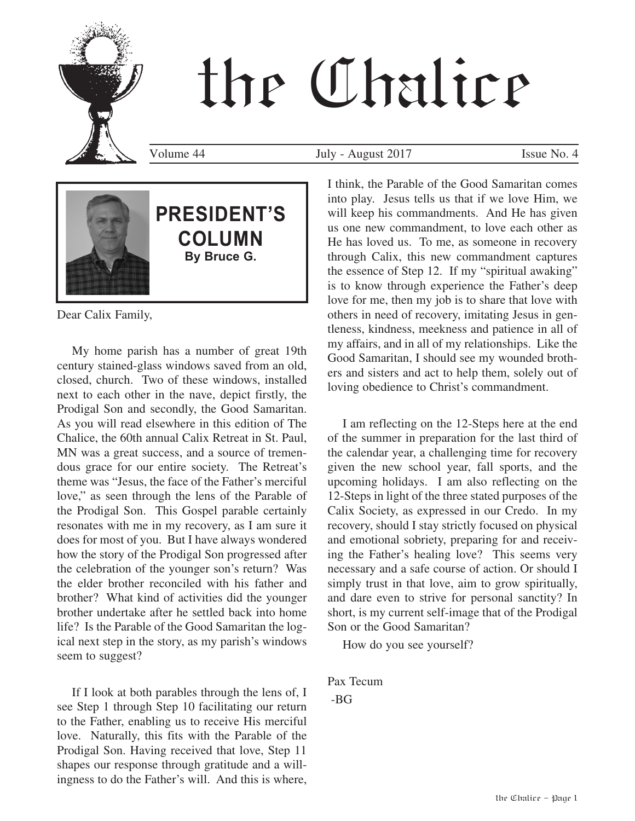# the Chalice



# **PRESIDENT'S COLUMN By Bruce G.**

Dear Calix Family,

My home parish has a number of great 19th century stained-glass windows saved from an old, closed, church. Two of these windows, installed next to each other in the nave, depict firstly, the Prodigal Son and secondly, the Good Samaritan. As you will read elsewhere in this edition of The Chalice, the 60th annual Calix Retreat in St. Paul, MN was a great success, and a source of tremendous grace for our entire society. The Retreat's theme was "Jesus, the face of the Father's merciful love," as seen through the lens of the Parable of the Prodigal Son. This Gospel parable certainly resonates with me in my recovery, as I am sure it does for most of you. But I have always wondered how the story of the Prodigal Son progressed after the celebration of the younger son's return? Was the elder brother reconciled with his father and brother? What kind of activities did the younger brother undertake after he settled back into home life? Is the Parable of the Good Samaritan the logical next step in the story, as my parish's windows seem to suggest?

If I look at both parables through the lens of, I see Step 1 through Step 10 facilitating our return to the Father, enabling us to receive His merciful love. Naturally, this fits with the Parable of the Prodigal Son. Having received that love, Step 11 shapes our response through gratitude and a willingness to do the Father's will. And this is where,

Volume 44 July - August 2017 Issue No. 4

I think, the Parable of the Good Samaritan comes into play. Jesus tells us that if we love Him, we will keep his commandments. And He has given us one new commandment, to love each other as He has loved us. To me, as someone in recovery through Calix, this new commandment captures the essence of Step 12. If my "spiritual awaking" is to know through experience the Father's deep love for me, then my job is to share that love with others in need of recovery, imitating Jesus in gentleness, kindness, meekness and patience in all of my affairs, and in all of my relationships. Like the Good Samaritan, I should see my wounded brothers and sisters and act to help them, solely out of loving obedience to Christ's commandment.

I am reflecting on the 12-Steps here at the end of the summer in preparation for the last third of the calendar year, a challenging time for recovery given the new school year, fall sports, and the upcoming holidays. I am also reflecting on the 12-Steps in light of the three stated purposes of the Calix Society, as expressed in our Credo. In my recovery, should I stay strictly focused on physical and emotional sobriety, preparing for and receiving the Father's healing love? This seems very necessary and a safe course of action. Or should I simply trust in that love, aim to grow spiritually, and dare even to strive for personal sanctity? In short, is my current self-image that of the Prodigal Son or the Good Samaritan?

How do you see yourself?

Pax Tecum -BG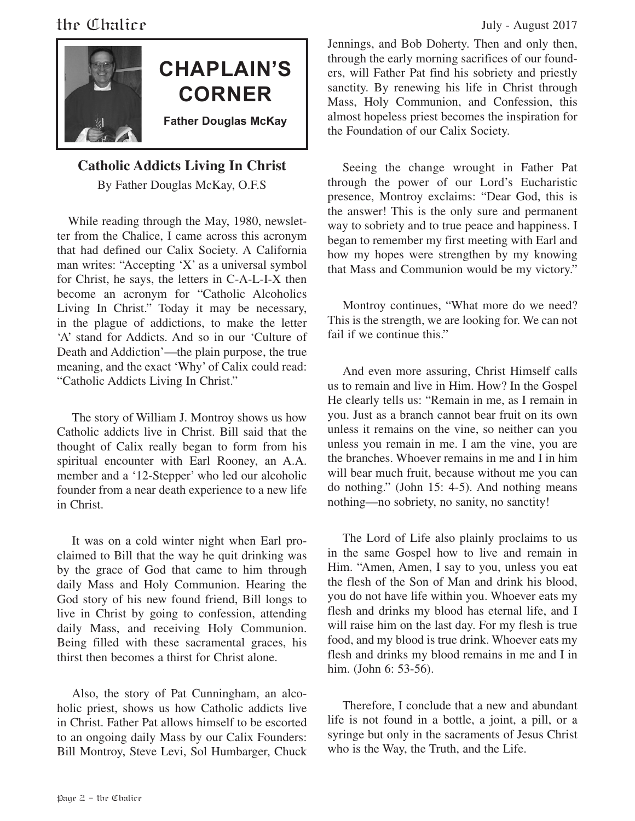



## **CHAPLAIN'S CORNER Father Douglas McKay**

#### **Catholic Addicts Living In Christ**

By Father Douglas McKay, O.F.S

 While reading through the May, 1980, newsletter from the Chalice, I came across this acronym that had defined our Calix Society. A California man writes: "Accepting 'X' as a universal symbol for Christ, he says, the letters in C-A-L-I-X then become an acronym for "Catholic Alcoholics Living In Christ." Today it may be necessary, in the plague of addictions, to make the letter 'A' stand for Addicts. And so in our 'Culture of Death and Addiction'—the plain purpose, the true meaning, and the exact 'Why' of Calix could read: "Catholic Addicts Living In Christ."

The story of William J. Montroy shows us how Catholic addicts live in Christ. Bill said that the thought of Calix really began to form from his spiritual encounter with Earl Rooney, an A.A. member and a '12-Stepper' who led our alcoholic founder from a near death experience to a new life in Christ.

It was on a cold winter night when Earl proclaimed to Bill that the way he quit drinking was by the grace of God that came to him through daily Mass and Holy Communion. Hearing the God story of his new found friend, Bill longs to live in Christ by going to confession, attending daily Mass, and receiving Holy Communion. Being filled with these sacramental graces, his thirst then becomes a thirst for Christ alone.

Also, the story of Pat Cunningham, an alcoholic priest, shows us how Catholic addicts live in Christ. Father Pat allows himself to be escorted to an ongoing daily Mass by our Calix Founders: Bill Montroy, Steve Levi, Sol Humbarger, Chuck

Jennings, and Bob Doherty. Then and only then, through the early morning sacrifices of our founders, will Father Pat find his sobriety and priestly sanctity. By renewing his life in Christ through Mass, Holy Communion, and Confession, this almost hopeless priest becomes the inspiration for the Foundation of our Calix Society.

Seeing the change wrought in Father Pat through the power of our Lord's Eucharistic presence, Montroy exclaims: "Dear God, this is the answer! This is the only sure and permanent way to sobriety and to true peace and happiness. I began to remember my first meeting with Earl and how my hopes were strengthen by my knowing that Mass and Communion would be my victory."

Montroy continues, "What more do we need? This is the strength, we are looking for. We can not fail if we continue this."

And even more assuring, Christ Himself calls us to remain and live in Him. How? In the Gospel He clearly tells us: "Remain in me, as I remain in you. Just as a branch cannot bear fruit on its own unless it remains on the vine, so neither can you unless you remain in me. I am the vine, you are the branches. Whoever remains in me and I in him will bear much fruit, because without me you can do nothing." (John 15: 4-5). And nothing means nothing—no sobriety, no sanity, no sanctity!

The Lord of Life also plainly proclaims to us in the same Gospel how to live and remain in Him. "Amen, Amen, I say to you, unless you eat the flesh of the Son of Man and drink his blood, you do not have life within you. Whoever eats my flesh and drinks my blood has eternal life, and I will raise him on the last day. For my flesh is true food, and my blood is true drink. Whoever eats my flesh and drinks my blood remains in me and I in him. (John 6: 53-56).

Therefore, I conclude that a new and abundant life is not found in a bottle, a joint, a pill, or a syringe but only in the sacraments of Jesus Christ who is the Way, the Truth, and the Life.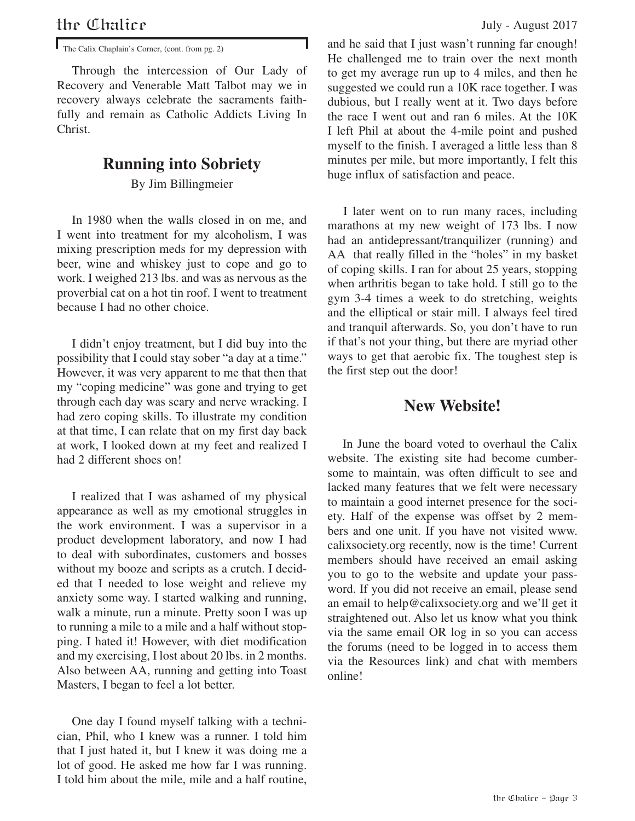The Calix Chaplain's Corner, (cont. from pg. 2)

Through the intercession of Our Lady of Recovery and Venerable Matt Talbot may we in recovery always celebrate the sacraments faithfully and remain as Catholic Addicts Living In Christ.

#### **Running into Sobriety**

By Jim Billingmeier

In 1980 when the walls closed in on me, and I went into treatment for my alcoholism, I was mixing prescription meds for my depression with beer, wine and whiskey just to cope and go to work. I weighed 213 lbs. and was as nervous as the proverbial cat on a hot tin roof. I went to treatment because I had no other choice.

I didn't enjoy treatment, but I did buy into the possibility that I could stay sober "a day at a time." However, it was very apparent to me that then that my "coping medicine" was gone and trying to get through each day was scary and nerve wracking. I had zero coping skills. To illustrate my condition at that time, I can relate that on my first day back at work, I looked down at my feet and realized I had 2 different shoes on!

I realized that I was ashamed of my physical appearance as well as my emotional struggles in the work environment. I was a supervisor in a product development laboratory, and now I had to deal with subordinates, customers and bosses without my booze and scripts as a crutch. I decided that I needed to lose weight and relieve my anxiety some way. I started walking and running, walk a minute, run a minute. Pretty soon I was up to running a mile to a mile and a half without stopping. I hated it! However, with diet modification and my exercising, I lost about 20 lbs. in 2 months. Also between AA, running and getting into Toast Masters, I began to feel a lot better.

One day I found myself talking with a technician, Phil, who I knew was a runner. I told him that I just hated it, but I knew it was doing me a lot of good. He asked me how far I was running. I told him about the mile, mile and a half routine, and he said that I just wasn't running far enough! He challenged me to train over the next month to get my average run up to 4 miles, and then he suggested we could run a 10K race together. I was dubious, but I really went at it. Two days before the race I went out and ran 6 miles. At the 10K I left Phil at about the 4-mile point and pushed myself to the finish. I averaged a little less than 8 minutes per mile, but more importantly, I felt this huge influx of satisfaction and peace.

 I later went on to run many races, including marathons at my new weight of 173 lbs. I now had an antidepressant/tranquilizer (running) and AA that really filled in the "holes" in my basket of coping skills. I ran for about 25 years, stopping when arthritis began to take hold. I still go to the gym 3-4 times a week to do stretching, weights and the elliptical or stair mill. I always feel tired and tranquil afterwards. So, you don't have to run if that's not your thing, but there are myriad other ways to get that aerobic fix. The toughest step is the first step out the door!

#### **New Website!**

In June the board voted to overhaul the Calix website. The existing site had become cumbersome to maintain, was often difficult to see and lacked many features that we felt were necessary to maintain a good internet presence for the society. Half of the expense was offset by 2 members and one unit. If you have not visited www. calixsociety.org recently, now is the time! Current members should have received an email asking you to go to the website and update your password. If you did not receive an email, please send an email to help@calixsociety.org and we'll get it straightened out. Also let us know what you think via the same email OR log in so you can access the forums (need to be logged in to access them via the Resources link) and chat with members online!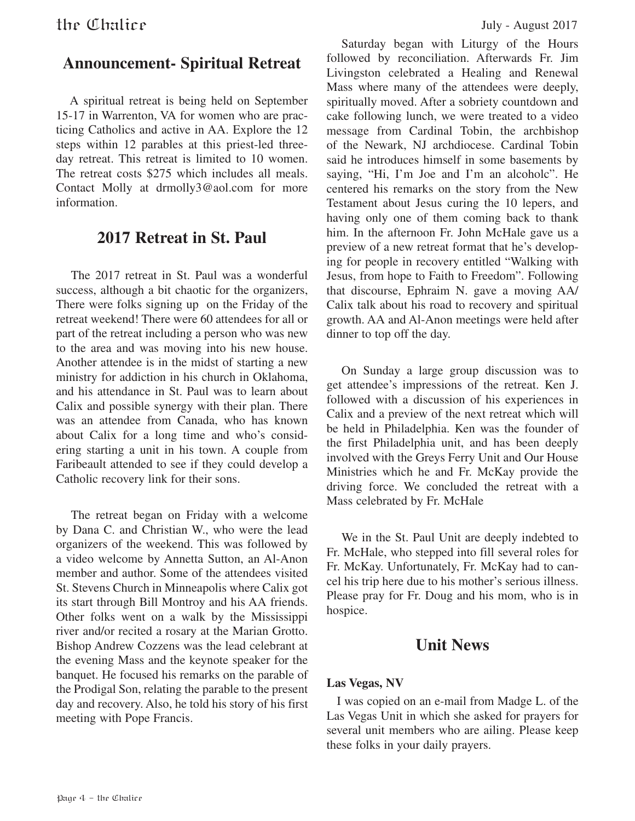#### **Announcement- Spiritual Retreat**

 A spiritual retreat is being held on September 15-17 in Warrenton, VA for women who are practicing Catholics and active in AA. Explore the 12 steps within 12 parables at this priest-led threeday retreat. This retreat is limited to 10 women. The retreat costs \$275 which includes all meals. Contact Molly at drmolly3@aol.com for more information.

#### **2017 Retreat in St. Paul**

The 2017 retreat in St. Paul was a wonderful success, although a bit chaotic for the organizers, There were folks signing up on the Friday of the retreat weekend! There were 60 attendees for all or part of the retreat including a person who was new to the area and was moving into his new house. Another attendee is in the midst of starting a new ministry for addiction in his church in Oklahoma, and his attendance in St. Paul was to learn about Calix and possible synergy with their plan. There was an attendee from Canada, who has known about Calix for a long time and who's considering starting a unit in his town. A couple from Faribeault attended to see if they could develop a Catholic recovery link for their sons.

The retreat began on Friday with a welcome by Dana C. and Christian W., who were the lead organizers of the weekend. This was followed by a video welcome by Annetta Sutton, an Al-Anon member and author. Some of the attendees visited St. Stevens Church in Minneapolis where Calix got its start through Bill Montroy and his AA friends. Other folks went on a walk by the Mississippi river and/or recited a rosary at the Marian Grotto. Bishop Andrew Cozzens was the lead celebrant at the evening Mass and the keynote speaker for the banquet. He focused his remarks on the parable of the Prodigal Son, relating the parable to the present day and recovery. Also, he told his story of his first meeting with Pope Francis.

Saturday began with Liturgy of the Hours followed by reconciliation. Afterwards Fr. Jim Livingston celebrated a Healing and Renewal Mass where many of the attendees were deeply, spiritually moved. After a sobriety countdown and cake following lunch, we were treated to a video message from Cardinal Tobin, the archbishop of the Newark, NJ archdiocese. Cardinal Tobin said he introduces himself in some basements by saying, "Hi, I'm Joe and I'm an alcoholc". He centered his remarks on the story from the New Testament about Jesus curing the 10 lepers, and having only one of them coming back to thank him. In the afternoon Fr. John McHale gave us a preview of a new retreat format that he's developing for people in recovery entitled "Walking with Jesus, from hope to Faith to Freedom". Following that discourse, Ephraim N. gave a moving AA/ Calix talk about his road to recovery and spiritual growth. AA and Al-Anon meetings were held after dinner to top off the day.

On Sunday a large group discussion was to get attendee's impressions of the retreat. Ken J. followed with a discussion of his experiences in Calix and a preview of the next retreat which will be held in Philadelphia. Ken was the founder of the first Philadelphia unit, and has been deeply involved with the Greys Ferry Unit and Our House Ministries which he and Fr. McKay provide the driving force. We concluded the retreat with a Mass celebrated by Fr. McHale

We in the St. Paul Unit are deeply indebted to Fr. McHale, who stepped into fill several roles for Fr. McKay. Unfortunately, Fr. McKay had to cancel his trip here due to his mother's serious illness. Please pray for Fr. Doug and his mom, who is in hospice.

#### **Unit News**

#### **Las Vegas, NV**

 I was copied on an e-mail from Madge L. of the Las Vegas Unit in which she asked for prayers for several unit members who are ailing. Please keep these folks in your daily prayers.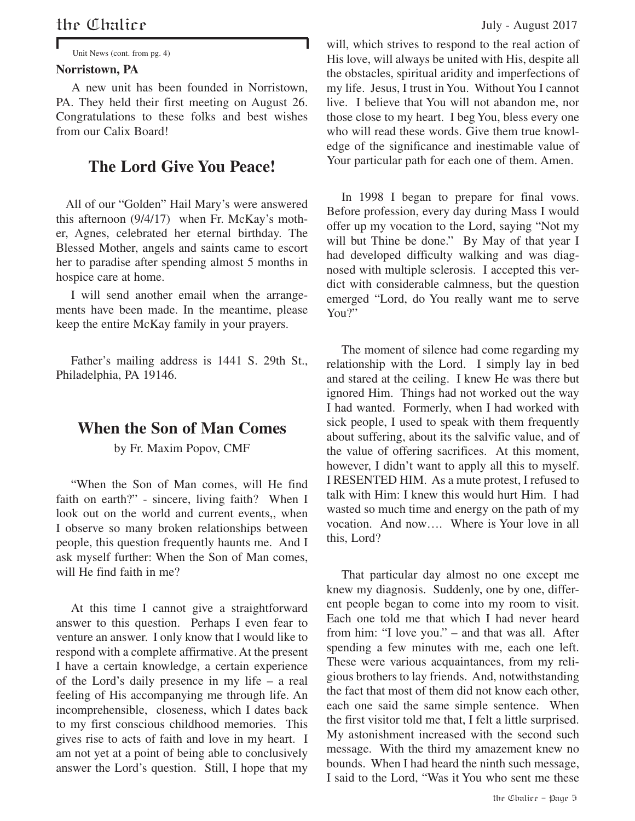#### **Norristown, PA**

 A new unit has been founded in Norristown, PA. They held their first meeting on August 26. Congratulations to these folks and best wishes from our Calix Board!

#### **The Lord Give You Peace!**

 All of our "Golden" Hail Mary's were answered this afternoon (9/4/17) when Fr. McKay's mother, Agnes, celebrated her eternal birthday. The Blessed Mother, angels and saints came to escort her to paradise after spending almost 5 months in hospice care at home.

I will send another email when the arrangements have been made. In the meantime, please keep the entire McKay family in your prayers.

Father's mailing address is 1441 S. 29th St., Philadelphia, PA 19146.

#### **When the Son of Man Comes**

by Fr. Maxim Popov, CMF

"When the Son of Man comes, will He find faith on earth?" - sincere, living faith? When I look out on the world and current events,, when I observe so many broken relationships between people, this question frequently haunts me. And I ask myself further: When the Son of Man comes, will He find faith in me?

At this time I cannot give a straightforward answer to this question. Perhaps I even fear to venture an answer. I only know that I would like to respond with a complete affirmative. At the present I have a certain knowledge, a certain experience of the Lord's daily presence in my life – a real feeling of His accompanying me through life. An incomprehensible, closeness, which I dates back to my first conscious childhood memories. This gives rise to acts of faith and love in my heart. I am not yet at a point of being able to conclusively answer the Lord's question. Still, I hope that my

Unit News (cont. from pg. 4) will, which strives to respond to the real action of His love, will always be united with His, despite all the obstacles, spiritual aridity and imperfections of my life. Jesus, I trust in You. Without You I cannot live. I believe that You will not abandon me, nor those close to my heart. I beg You, bless every one who will read these words. Give them true knowledge of the significance and inestimable value of Your particular path for each one of them. Amen.

> In 1998 I began to prepare for final vows. Before profession, every day during Mass I would offer up my vocation to the Lord, saying "Not my will but Thine be done." By May of that year I had developed difficulty walking and was diagnosed with multiple sclerosis. I accepted this verdict with considerable calmness, but the question emerged "Lord, do You really want me to serve You?"

> The moment of silence had come regarding my relationship with the Lord. I simply lay in bed and stared at the ceiling. I knew He was there but ignored Him. Things had not worked out the way I had wanted. Formerly, when I had worked with sick people, I used to speak with them frequently about suffering, about its the salvific value, and of the value of offering sacrifices. At this moment, however, I didn't want to apply all this to myself. I RESENTED HIM. As a mute protest, I refused to talk with Him: I knew this would hurt Him. I had wasted so much time and energy on the path of my vocation. And now…. Where is Your love in all this, Lord?

> That particular day almost no one except me knew my diagnosis. Suddenly, one by one, different people began to come into my room to visit. Each one told me that which I had never heard from him: "I love you." – and that was all. After spending a few minutes with me, each one left. These were various acquaintances, from my religious brothers to lay friends. And, notwithstanding the fact that most of them did not know each other, each one said the same simple sentence. When the first visitor told me that, I felt a little surprised. My astonishment increased with the second such message. With the third my amazement knew no bounds. When I had heard the ninth such message, I said to the Lord, "Was it You who sent me these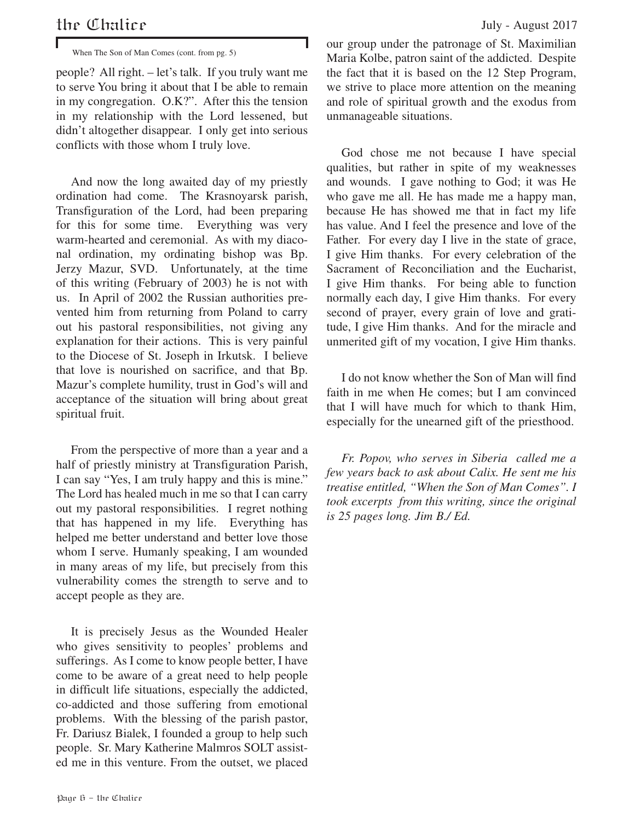When The Son of Man Comes (cont. from pg. 5)

people? All right. – let's talk. If you truly want me to serve You bring it about that I be able to remain in my congregation. O.K?". After this the tension in my relationship with the Lord lessened, but didn't altogether disappear. I only get into serious conflicts with those whom I truly love.

And now the long awaited day of my priestly ordination had come. The Krasnoyarsk parish, Transfiguration of the Lord, had been preparing for this for some time. Everything was very warm-hearted and ceremonial. As with my diaconal ordination, my ordinating bishop was Bp. Jerzy Mazur, SVD. Unfortunately, at the time of this writing (February of 2003) he is not with us. In April of 2002 the Russian authorities prevented him from returning from Poland to carry out his pastoral responsibilities, not giving any explanation for their actions. This is very painful to the Diocese of St. Joseph in Irkutsk. I believe that love is nourished on sacrifice, and that Bp. Mazur's complete humility, trust in God's will and acceptance of the situation will bring about great spiritual fruit.

From the perspective of more than a year and a half of priestly ministry at Transfiguration Parish, I can say "Yes, I am truly happy and this is mine." The Lord has healed much in me so that I can carry out my pastoral responsibilities. I regret nothing that has happened in my life. Everything has helped me better understand and better love those whom I serve. Humanly speaking, I am wounded in many areas of my life, but precisely from this vulnerability comes the strength to serve and to accept people as they are.

It is precisely Jesus as the Wounded Healer who gives sensitivity to peoples' problems and sufferings. As I come to know people better, I have come to be aware of a great need to help people in difficult life situations, especially the addicted, co-addicted and those suffering from emotional problems. With the blessing of the parish pastor, Fr. Dariusz Bialek, I founded a group to help such people. Sr. Mary Katherine Malmros SOLT assisted me in this venture. From the outset, we placed our group under the patronage of St. Maximilian Maria Kolbe, patron saint of the addicted. Despite the fact that it is based on the 12 Step Program, we strive to place more attention on the meaning and role of spiritual growth and the exodus from unmanageable situations.

God chose me not because I have special qualities, but rather in spite of my weaknesses and wounds. I gave nothing to God; it was He who gave me all. He has made me a happy man, because He has showed me that in fact my life has value. And I feel the presence and love of the Father. For every day I live in the state of grace, I give Him thanks. For every celebration of the Sacrament of Reconciliation and the Eucharist, I give Him thanks. For being able to function normally each day, I give Him thanks. For every second of prayer, every grain of love and gratitude, I give Him thanks. And for the miracle and unmerited gift of my vocation, I give Him thanks.

I do not know whether the Son of Man will find faith in me when He comes; but I am convinced that I will have much for which to thank Him, especially for the unearned gift of the priesthood.

*Fr. Popov, who serves in Siberia called me a few years back to ask about Calix. He sent me his treatise entitled, "When the Son of Man Comes". I took excerpts from this writing, since the original is 25 pages long. Jim B./ Ed.*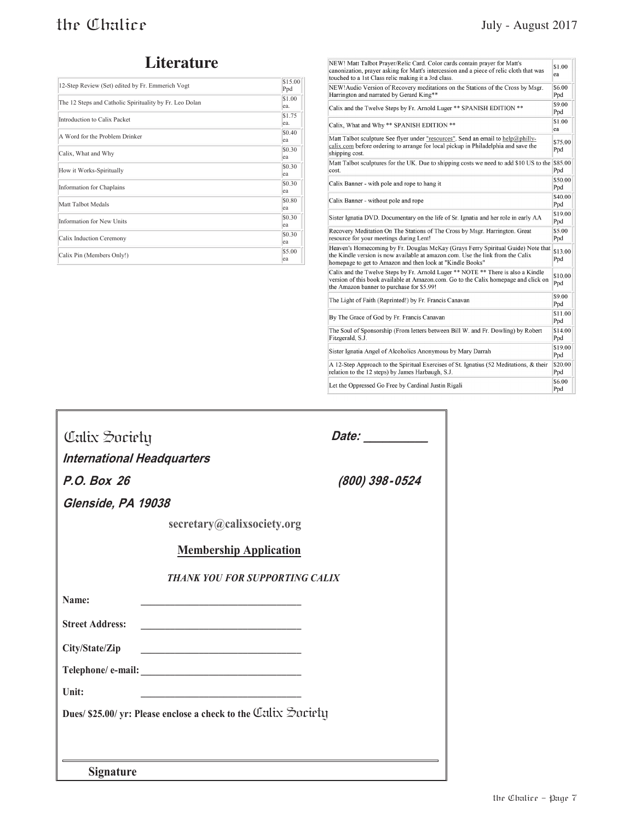#### **Literature**

| 12-Step Review (Set) edited by Fr. Emmerich Vogt        | \$15.00<br>Ppd |
|---------------------------------------------------------|----------------|
| The 12 Steps and Catholic Spirituality by Fr. Leo Dolan | \$1.00<br>ea.  |
| Introduction to Calix Packet                            | \$1.75<br>ea.  |
| A Word for the Problem Drinker                          | \$0.40<br>ea   |
| Calix, What and Why                                     | \$0.30<br>ea   |
| How it Works-Spiritually                                | \$0.30<br>ea   |
| Information for Chaplains                               | \$0.30<br>ea   |
| Matt Talbot Medals                                      | \$0.80<br>ea   |
| <b>Information for New Units</b>                        | \$0.30<br>ea   |
| Calix Induction Ceremony                                | \$0.30<br>ea   |
| Calix Pin (Members Only!)                               | \$5.00<br>ea   |

| NEW! Matt Talbot Prayer/Relic Card. Color cards contain prayer for Matt's<br>canonization, prayer asking for Matt's intercession and a piece of relic cloth that was<br>touched to a 1st Class relic making it a 3rd class.     |                |
|---------------------------------------------------------------------------------------------------------------------------------------------------------------------------------------------------------------------------------|----------------|
| NEW! Audio Version of Recovery meditations on the Stations of the Cross by Msgr.<br>Harrington and narrated by Gerard King**                                                                                                    |                |
| Calix and the Twelve Steps by Fr. Arnold Luger ** SPANISH EDITION **                                                                                                                                                            |                |
| Calix. What and Why ** SPANISH EDITION **                                                                                                                                                                                       |                |
| Matt Talbot sculpture See flyer under "resources". Send an email to help@philly-<br>calix.com before ordering to arrange for local pickup in Philadelphia and save the<br>shipping cost.                                        |                |
| Matt Talbot sculptures for the UK. Due to shipping costs we need to add \$10 US to the<br>cost.                                                                                                                                 |                |
| Calix Banner - with pole and rope to hang it                                                                                                                                                                                    |                |
| Calix Banner - without pole and rope                                                                                                                                                                                            |                |
| Sister Ignatia DVD. Documentary on the life of Sr. Ignatia and her role in early AA                                                                                                                                             |                |
| Recovery Meditation On The Stations of The Cross by Msgr. Harrington. Great<br>resource for your meetings during Lent!                                                                                                          |                |
| Heaven's Homecoming by Fr. Douglas McKay (Grays Ferry Spiritual Guide) Note that<br>the Kindle version is now available at amazon.com. Use the link from the Calix<br>homepage to get to Amazon and then look at "Kindle Books" |                |
| Calix and the Twelve Steps by Fr. Arnold Luger ** NOTE ** There is also a Kindle<br>version of this book available at Amazon.com. Go to the Calix homepage and click on<br>the Amazon banner to purchase for \$5.99!            |                |
| The Light of Faith (Reprinted!) by Fr. Francis Canavan                                                                                                                                                                          |                |
| By The Grace of God by Fr. Francis Canavan                                                                                                                                                                                      |                |
| The Soul of Sponsorship (From letters between Bill W. and Fr. Dowling) by Robert<br>Fitzgerald, S.J.                                                                                                                            |                |
| Sister Ignatia Angel of Alcoholics Anonymous by Mary Darrah                                                                                                                                                                     | \$19.00<br>Ppd |
| A 12-Step Approach to the Spiritual Exercises of St. Ignatius (52 Meditations, & their<br>relation to the 12 steps) by James Harbaugh, S.J.                                                                                     |                |
| Let the Oppressed Go Free by Cardinal Justin Rigali                                                                                                                                                                             | \$6.00<br>Ppd  |

| Calix Society                                                       | Date: <b>Date</b>                     |
|---------------------------------------------------------------------|---------------------------------------|
| <b>International Headquarters</b>                                   |                                       |
| P.O. Box 26                                                         | (800) 398-0524                        |
| Glenside, PA 19038                                                  |                                       |
| secretary@calixsociety.org                                          |                                       |
| <b>Membership Application</b>                                       |                                       |
|                                                                     | <b>THANK YOU FOR SUPPORTING CALIX</b> |
| Name:<br><u> 1989 - Johann Barbara, martxa alemaniar amerikan a</u> |                                       |
| <b>Street Address:</b>                                              |                                       |
| City/State/Zip                                                      |                                       |
|                                                                     |                                       |
| Unit:                                                               |                                       |
| Dues/ \$25.00/ yr: Please enclose a check to the Utilix Society     |                                       |
|                                                                     |                                       |
|                                                                     |                                       |
| <b>Signature</b>                                                    |                                       |